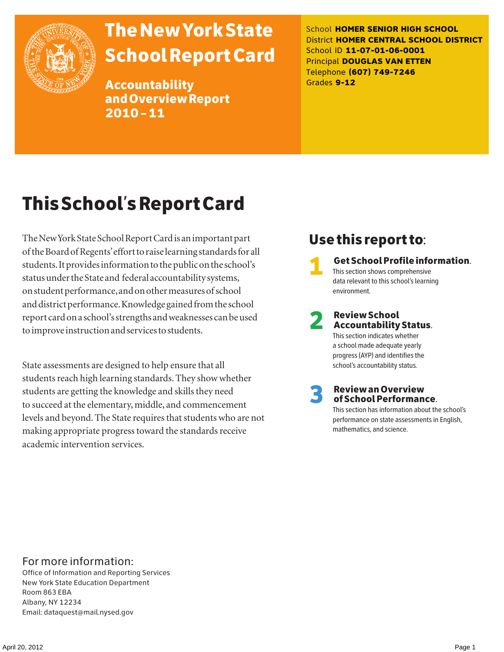

# The New York State School Report Card

Accountability and Overview Report 2010–11

School **HOMER SENIOR HIGH SCHOOL** District **HOMER CENTRAL SCHOOL DISTRICT** School ID **11-07-01-06-0001** Principal **DOUGLAS VAN ETTEN** Telephone **(607) 749-7246** Grades **9-12**

## This School's Report Card

The New York State School Report Card is an important part of the Board of Regents' effort to raise learning standards for all students. It provides information to the public on the school's status under the State and federal accountability systems, on student performance, and on other measures of school and district performance. Knowledge gained from the school report card on a school's strengths and weaknesses can be used to improve instruction and services to students.

State assessments are designed to help ensure that all students reach high learning standards. They show whether students are getting the knowledge and skills they need to succeed at the elementary, middle, and commencement levels and beyond. The State requires that students who are not making appropriate progress toward the standards receive academic intervention services.

### Use this report to:

1 Get School Profile information. This section shows comprehensive data relevant to this school's learning environment.

### 2 Review School Accountability Status. This section indicates whether

a school made adequate yearly progress (AYP) and identifies the school's accountability status.

3 Review an Overview of School Performance.

This section has information about the school's performance on state assessments in English, mathematics, and science.

### For more information:

Office of Information and Reporting Services New York State Education Department Room 863 EBA Albany, NY 12234 Email: dataquest@mail.nysed.gov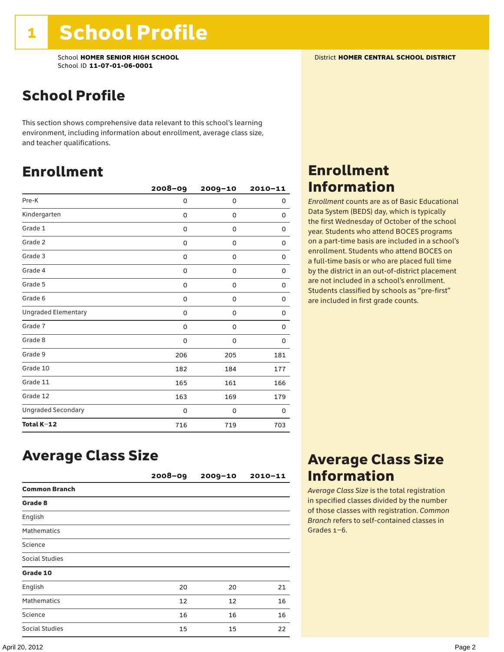### School Profile

This section shows comprehensive data relevant to this school's learning environment, including information about enrollment, average class size, and teacher qualifications.

### Enrollment

|                            | $2008 - 09$ | 2009-10     | $2010 - 11$ |
|----------------------------|-------------|-------------|-------------|
| Pre-K                      | 0           | 0           | 0           |
| Kindergarten               | 0           | 0           | 0           |
| Grade 1                    | 0           | 0           | 0           |
| Grade 2                    | 0           | 0           | 0           |
| Grade 3                    | 0           | 0           | 0           |
| Grade 4                    | 0           | 0           | 0           |
| Grade 5                    | 0           | 0           | 0           |
| Grade 6                    | 0           | 0           | 0           |
| <b>Ungraded Elementary</b> | 0           | $\mathbf 0$ | $\Omega$    |
| Grade 7                    | 0           | $\mathbf 0$ | 0           |
| Grade 8                    | 0           | 0           | 0           |
| Grade 9                    | 206         | 205         | 181         |
| Grade 10                   | 182         | 184         | 177         |
| Grade 11                   | 165         | 161         | 166         |
| Grade 12                   | 163         | 169         | 179         |
| <b>Ungraded Secondary</b>  | 0           | 0           | 0           |
| Total K-12                 | 716         | 719         | 703         |

### Enrollment Information

*Enrollment* counts are as of Basic Educational Data System (BEDS) day, which is typically the first Wednesday of October of the school year. Students who attend BOCES programs on a part-time basis are included in a school's enrollment. Students who attend BOCES on a full-time basis or who are placed full time by the district in an out-of-district placement are not included in a school's enrollment. Students classified by schools as "pre-first" are included in first grade counts.

### Average Class Size

|                      | $2008 - 09$ | $2009 - 10$ | $2010 - 11$ |
|----------------------|-------------|-------------|-------------|
| <b>Common Branch</b> |             |             |             |
| Grade 8              |             |             |             |
| English              |             |             |             |
| <b>Mathematics</b>   |             |             |             |
| Science              |             |             |             |
| Social Studies       |             |             |             |
| Grade 10             |             |             |             |
| English              | 20          | 20          | 21          |
| <b>Mathematics</b>   | 12          | 12          | 16          |
| Science              | 16          | 16          | 16          |
| Social Studies       | 15          | 15          | 22          |

### Average Class Size Information

*Average Class Size* is the total registration in specified classes divided by the number of those classes with registration. *Common Branch* refers to self-contained classes in Grades 1–6.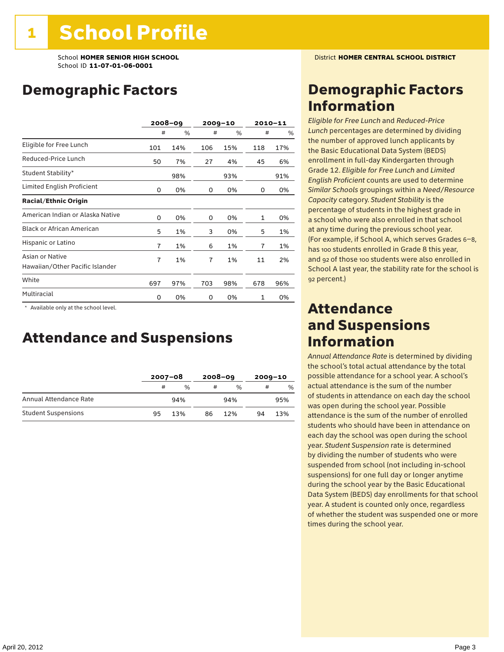School **HOMER SENIOR HIGH SCHOOL** District **HOMER CENTRAL SCHOOL DISTRICT** School ID **11-07-01-06-0001**

### Demographic Factors

|                                                    | $2008 - 09$ |     | $2009 - 10$    |     |              | $2010 - 11$ |
|----------------------------------------------------|-------------|-----|----------------|-----|--------------|-------------|
|                                                    | #           | %   | #              | %   | #            | %           |
| Eligible for Free Lunch                            | 101         | 14% | 106            | 15% | 118          | 17%         |
| Reduced-Price Lunch                                | 50          | 7%  | 27             | 4%  | 45           | 6%          |
| Student Stability*                                 |             | 98% |                | 93% |              | 91%         |
| Limited English Proficient                         | 0           | 0%  | 0              | 0%  | 0            | 0%          |
| <b>Racial/Ethnic Origin</b>                        |             |     |                |     |              |             |
| American Indian or Alaska Native                   | 0           | 0%  | 0              | 0%  | $\mathbf{1}$ | 0%          |
| <b>Black or African American</b>                   | 5           | 1%  | 3              | 0%  | 5            | 1%          |
| Hispanic or Latino                                 | 7           | 1%  | 6              | 1%  | 7            | 1%          |
| Asian or Native<br>Hawaiian/Other Pacific Islander | 7           | 1%  | $\overline{7}$ | 1%  | 11           | 2%          |
| White                                              | 697         | 97% | 703            | 98% | 678          | 96%         |
| Multiracial                                        | 0           | 0%  | 0              | 0%  | $\mathbf{1}$ | 0%          |

 \* Available only at the school level.

### Attendance and Suspensions

|                            |    | $2007 - 08$ |    | $2008 - 09$   |    | $2009 - 10$   |  |
|----------------------------|----|-------------|----|---------------|----|---------------|--|
|                            | #  | $\%$        | #  | $\frac{0}{6}$ | #  | $\frac{0}{0}$ |  |
| Annual Attendance Rate     |    | 94%         |    | 94%           |    | 95%           |  |
| <b>Student Suspensions</b> | 95 | 13%         | 86 | 12%           | 94 | 13%           |  |

### Demographic Factors Information

*Eligible for Free Lunch* and *Reduced*-*Price Lunch* percentages are determined by dividing the number of approved lunch applicants by the Basic Educational Data System (BEDS) enrollment in full-day Kindergarten through Grade 12. *Eligible for Free Lunch* and *Limited English Proficient* counts are used to determine *Similar Schools* groupings within a *Need*/*Resource Capacity* category. *Student Stability* is the percentage of students in the highest grade in a school who were also enrolled in that school at any time during the previous school year. (For example, if School A, which serves Grades 6–8, has 100 students enrolled in Grade 8 this year, and 92 of those 100 students were also enrolled in School A last year, the stability rate for the school is 92 percent.)

### Attendance and Suspensions Information

*Annual Attendance Rate* is determined by dividing the school's total actual attendance by the total possible attendance for a school year. A school's actual attendance is the sum of the number of students in attendance on each day the school was open during the school year. Possible attendance is the sum of the number of enrolled students who should have been in attendance on each day the school was open during the school year. *Student Suspension* rate is determined by dividing the number of students who were suspended from school (not including in-school suspensions) for one full day or longer anytime during the school year by the Basic Educational Data System (BEDS) day enrollments for that school year. A student is counted only once, regardless of whether the student was suspended one or more times during the school year.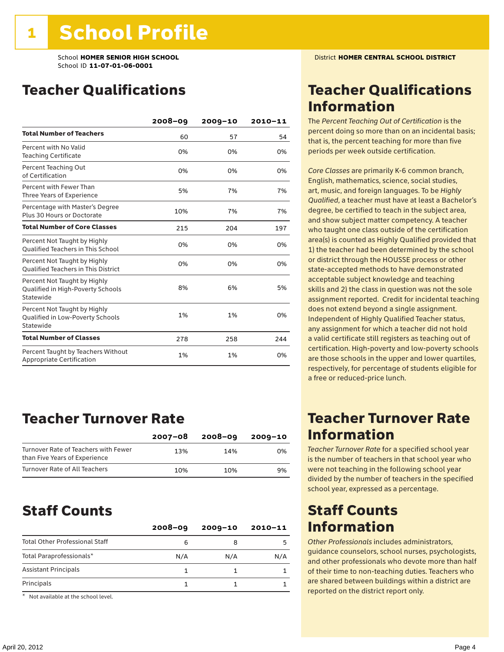### Teacher Qualifications

|                                                                                | $2008 - 09$ | $2009 - 10$ | 2010-11 |
|--------------------------------------------------------------------------------|-------------|-------------|---------|
| <b>Total Number of Teachers</b>                                                | 60          | 57          | 54      |
| Percent with No Valid<br><b>Teaching Certificate</b>                           | 0%          | 0%          | 0%      |
| Percent Teaching Out<br>of Certification                                       | 0%          | 0%          | 0%      |
| Percent with Fewer Than<br>Three Years of Experience                           | 5%          | 7%          | 7%      |
| Percentage with Master's Degree<br>Plus 30 Hours or Doctorate                  | 10%         | 7%          | 7%      |
| <b>Total Number of Core Classes</b>                                            | 215         | 204         | 197     |
| Percent Not Taught by Highly<br><b>Qualified Teachers in This School</b>       | 0%          | 0%          | 0%      |
| Percent Not Taught by Highly<br><b>Oualified Teachers in This District</b>     | 0%          | 0%          | 0%      |
| Percent Not Taught by Highly<br>Qualified in High-Poverty Schools<br>Statewide | 8%          | 6%          | 5%      |
| Percent Not Taught by Highly<br>Qualified in Low-Poverty Schools<br>Statewide  | 1%          | 1%          | 0%      |
| <b>Total Number of Classes</b>                                                 | 278         | 258         | 244     |
| Percent Taught by Teachers Without<br>Appropriate Certification                | 1%          | 1%          | 0%      |

### Teacher Turnover Rate

|                                                                       | $2007 - 08$ | 2008-09 | 2009-10 |
|-----------------------------------------------------------------------|-------------|---------|---------|
| Turnover Rate of Teachers with Fewer<br>than Five Years of Experience | 13%         | 14%     | 0%      |
| Turnover Rate of All Teachers                                         | 10%         | 10%     | 9%      |

### Staff Counts

|                                       | $2008 - 09$ | $2009 - 10$ | $2010 - 11$ |
|---------------------------------------|-------------|-------------|-------------|
| <b>Total Other Professional Staff</b> | 6           |             | 5           |
| Total Paraprofessionals*              | N/A         | N/A         | N/A         |
| <b>Assistant Principals</b>           |             |             |             |
| Principals                            |             |             |             |

\* Not available at the school level.

### Teacher Qualifications Information

The *Percent Teaching Out of Certification* is the percent doing so more than on an incidental basis; that is, the percent teaching for more than five periods per week outside certification.

*Core Classes* are primarily K-6 common branch, English, mathematics, science, social studies, art, music, and foreign languages. To be *Highly Qualified*, a teacher must have at least a Bachelor's degree, be certified to teach in the subject area, and show subject matter competency. A teacher who taught one class outside of the certification area(s) is counted as Highly Qualified provided that 1) the teacher had been determined by the school or district through the HOUSSE process or other state-accepted methods to have demonstrated acceptable subject knowledge and teaching skills and 2) the class in question was not the sole assignment reported. Credit for incidental teaching does not extend beyond a single assignment. Independent of Highly Qualified Teacher status, any assignment for which a teacher did not hold a valid certificate still registers as teaching out of certification. High-poverty and low-poverty schools are those schools in the upper and lower quartiles, respectively, for percentage of students eligible for a free or reduced-price lunch.

### Teacher Turnover Rate Information

*Teacher Turnover Rate* for a specified school year is the number of teachers in that school year who were not teaching in the following school year divided by the number of teachers in the specified school year, expressed as a percentage.

### Staff Counts Information

*Other Professionals* includes administrators, guidance counselors, school nurses, psychologists, and other professionals who devote more than half of their time to non-teaching duties. Teachers who are shared between buildings within a district are reported on the district report only.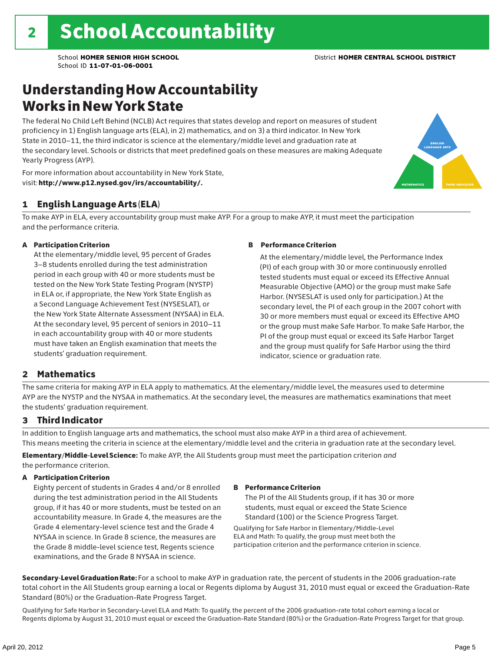### Understanding How Accountability Works in New York State

The federal No Child Left Behind (NCLB) Act requires that states develop and report on measures of student proficiency in 1) English language arts (ELA), in 2) mathematics, and on 3) a third indicator. In New York State in 2010–11, the third indicator is science at the elementary/middle level and graduation rate at the secondary level. Schools or districts that meet predefined goals on these measures are making Adequate Yearly Progress (AYP).



For more information about accountability in New York State, visit: http://www.p12.nysed.gov/irs/accountability/.

### 1 English Language Arts (ELA)

To make AYP in ELA, every accountability group must make AYP. For a group to make AYP, it must meet the participation and the performance criteria.

#### A Participation Criterion

At the elementary/middle level, 95 percent of Grades 3–8 students enrolled during the test administration period in each group with 40 or more students must be tested on the New York State Testing Program (NYSTP) in ELA or, if appropriate, the New York State English as a Second Language Achievement Test (NYSESLAT), or the New York State Alternate Assessment (NYSAA) in ELA. At the secondary level, 95 percent of seniors in 2010–11 in each accountability group with 40 or more students must have taken an English examination that meets the students' graduation requirement.

#### B Performance Criterion

At the elementary/middle level, the Performance Index (PI) of each group with 30 or more continuously enrolled tested students must equal or exceed its Effective Annual Measurable Objective (AMO) or the group must make Safe Harbor. (NYSESLAT is used only for participation.) At the secondary level, the PI of each group in the 2007 cohort with 30 or more members must equal or exceed its Effective AMO or the group must make Safe Harbor. To make Safe Harbor, the PI of the group must equal or exceed its Safe Harbor Target and the group must qualify for Safe Harbor using the third indicator, science or graduation rate.

#### 2 Mathematics

The same criteria for making AYP in ELA apply to mathematics. At the elementary/middle level, the measures used to determine AYP are the NYSTP and the NYSAA in mathematics. At the secondary level, the measures are mathematics examinations that meet the students' graduation requirement.

#### 3 Third Indicator

In addition to English language arts and mathematics, the school must also make AYP in a third area of achievement. This means meeting the criteria in science at the elementary/middle level and the criteria in graduation rate at the secondary level.

Elementary/Middle-Level Science: To make AYP, the All Students group must meet the participation criterion *and* the performance criterion.

#### A Participation Criterion

Eighty percent of students in Grades 4 and/or 8 enrolled during the test administration period in the All Students group, if it has 40 or more students, must be tested on an accountability measure. In Grade 4, the measures are the Grade 4 elementary-level science test and the Grade 4 NYSAA in science. In Grade 8 science, the measures are the Grade 8 middle-level science test, Regents science examinations, and the Grade 8 NYSAA in science.

#### B Performance Criterion

The PI of the All Students group, if it has 30 or more students, must equal or exceed the State Science Standard (100) or the Science Progress Target.

Qualifying for Safe Harbor in Elementary/Middle-Level ELA and Math: To qualify, the group must meet both the participation criterion and the performance criterion in science.

Secondary-Level Graduation Rate: For a school to make AYP in graduation rate, the percent of students in the 2006 graduation-rate total cohort in the All Students group earning a local or Regents diploma by August 31, 2010 must equal or exceed the Graduation-Rate Standard (80%) or the Graduation-Rate Progress Target.

Qualifying for Safe Harbor in Secondary-Level ELA and Math: To qualify, the percent of the 2006 graduation-rate total cohort earning a local or Regents diploma by August 31, 2010 must equal or exceed the Graduation-Rate Standard (80%) or the Graduation-Rate Progress Target for that group.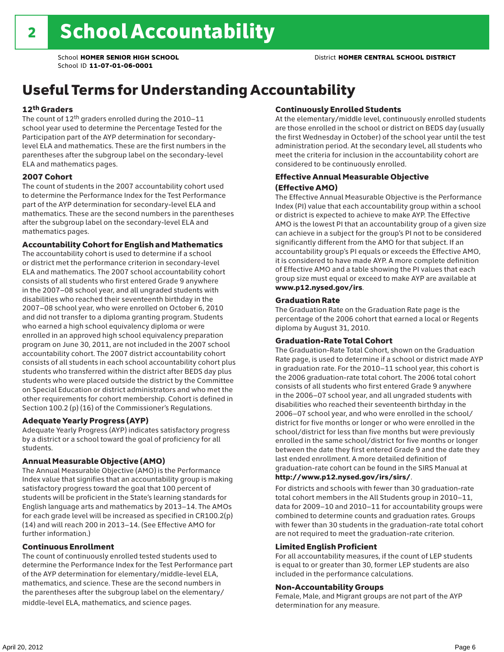### Useful Terms for Understanding Accountability

#### 12th Graders

The count of 12th graders enrolled during the 2010–11 school year used to determine the Percentage Tested for the Participation part of the AYP determination for secondarylevel ELA and mathematics. These are the first numbers in the parentheses after the subgroup label on the secondary-level ELA and mathematics pages.

#### 2007 Cohort

The count of students in the 2007 accountability cohort used to determine the Performance Index for the Test Performance part of the AYP determination for secondary-level ELA and mathematics. These are the second numbers in the parentheses after the subgroup label on the secondary-level ELA and mathematics pages.

#### Accountability Cohort for English and Mathematics

The accountability cohort is used to determine if a school or district met the performance criterion in secondary-level ELA and mathematics. The 2007 school accountability cohort consists of all students who first entered Grade 9 anywhere in the 2007–08 school year, and all ungraded students with disabilities who reached their seventeenth birthday in the 2007–08 school year, who were enrolled on October 6, 2010 and did not transfer to a diploma granting program. Students who earned a high school equivalency diploma or were enrolled in an approved high school equivalency preparation program on June 30, 2011, are not included in the 2007 school accountability cohort. The 2007 district accountability cohort consists of all students in each school accountability cohort plus students who transferred within the district after BEDS day plus students who were placed outside the district by the Committee on Special Education or district administrators and who met the other requirements for cohort membership. Cohort is defined in Section 100.2 (p) (16) of the Commissioner's Regulations.

#### Adequate Yearly Progress (AYP)

Adequate Yearly Progress (AYP) indicates satisfactory progress by a district or a school toward the goal of proficiency for all students.

#### Annual Measurable Objective (AMO)

The Annual Measurable Objective (AMO) is the Performance Index value that signifies that an accountability group is making satisfactory progress toward the goal that 100 percent of students will be proficient in the State's learning standards for English language arts and mathematics by 2013–14. The AMOs for each grade level will be increased as specified in CR100.2(p) (14) and will reach 200 in 2013–14. (See Effective AMO for further information.)

#### Continuous Enrollment

The count of continuously enrolled tested students used to determine the Performance Index for the Test Performance part of the AYP determination for elementary/middle-level ELA, mathematics, and science. These are the second numbers in the parentheses after the subgroup label on the elementary/ middle-level ELA, mathematics, and science pages.

#### Continuously Enrolled Students

At the elementary/middle level, continuously enrolled students are those enrolled in the school or district on BEDS day (usually the first Wednesday in October) of the school year until the test administration period. At the secondary level, all students who meet the criteria for inclusion in the accountability cohort are considered to be continuously enrolled.

#### Effective Annual Measurable Objective (Effective AMO)

The Effective Annual Measurable Objective is the Performance Index (PI) value that each accountability group within a school or district is expected to achieve to make AYP. The Effective AMO is the lowest PI that an accountability group of a given size can achieve in a subject for the group's PI not to be considered significantly different from the AMO for that subject. If an accountability group's PI equals or exceeds the Effective AMO, it is considered to have made AYP. A more complete definition of Effective AMO and a table showing the PI values that each group size must equal or exceed to make AYP are available at www.p12.nysed.gov/irs.

#### Graduation Rate

The Graduation Rate on the Graduation Rate page is the percentage of the 2006 cohort that earned a local or Regents diploma by August 31, 2010.

#### Graduation-Rate Total Cohort

The Graduation-Rate Total Cohort, shown on the Graduation Rate page, is used to determine if a school or district made AYP in graduation rate. For the 2010–11 school year, this cohort is the 2006 graduation-rate total cohort. The 2006 total cohort consists of all students who first entered Grade 9 anywhere in the 2006–07 school year, and all ungraded students with disabilities who reached their seventeenth birthday in the 2006–07 school year, and who were enrolled in the school/ district for five months or longer or who were enrolled in the school/district for less than five months but were previously enrolled in the same school/district for five months or longer between the date they first entered Grade 9 and the date they last ended enrollment. A more detailed definition of graduation-rate cohort can be found in the SIRS Manual at

#### http://www.p12.nysed.gov/irs/sirs/.

For districts and schools with fewer than 30 graduation-rate total cohort members in the All Students group in 2010–11, data for 2009–10 and 2010–11 for accountability groups were combined to determine counts and graduation rates. Groups with fewer than 30 students in the graduation-rate total cohort are not required to meet the graduation-rate criterion.

#### Limited English Proficient

For all accountability measures, if the count of LEP students is equal to or greater than 30, former LEP students are also included in the performance calculations.

#### Non-Accountability Groups

Female, Male, and Migrant groups are not part of the AYP determination for any measure.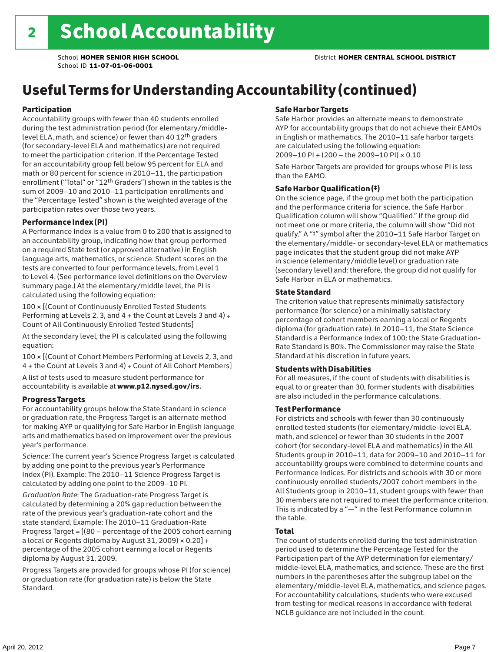## Useful Terms for Understanding Accountability (continued)

#### Participation

Accountability groups with fewer than 40 students enrolled during the test administration period (for elementary/middlelevel ELA, math, and science) or fewer than 40 12th graders (for secondary-level ELA and mathematics) are not required to meet the participation criterion. If the Percentage Tested for an accountability group fell below 95 percent for ELA and math or 80 percent for science in 2010–11, the participation enrollment ("Total" or "12th Graders") shown in the tables is the sum of 2009–10 and 2010–11 participation enrollments and the "Percentage Tested" shown is the weighted average of the participation rates over those two years.

#### Performance Index (PI)

A Performance Index is a value from 0 to 200 that is assigned to an accountability group, indicating how that group performed on a required State test (or approved alternative) in English language arts, mathematics, or science. Student scores on the tests are converted to four performance levels, from Level 1 to Level 4. (See performance level definitions on the Overview summary page.) At the elementary/middle level, the PI is calculated using the following equation:

100 × [(Count of Continuously Enrolled Tested Students Performing at Levels 2, 3, and  $4 +$  the Count at Levels 3 and  $4) \div$ Count of All Continuously Enrolled Tested Students]

At the secondary level, the PI is calculated using the following equation:

100 × [(Count of Cohort Members Performing at Levels 2, 3, and 4 + the Count at Levels 3 and 4) ÷ Count of All Cohort Members]

A list of tests used to measure student performance for accountability is available at www.p12.nysed.gov/irs.

#### Progress Targets

For accountability groups below the State Standard in science or graduation rate, the Progress Target is an alternate method for making AYP or qualifying for Safe Harbor in English language arts and mathematics based on improvement over the previous year's performance.

*Science:* The current year's Science Progress Target is calculated by adding one point to the previous year's Performance Index (PI). Example: The 2010–11 Science Progress Target is calculated by adding one point to the 2009–10 PI.

*Graduation Rate*: The Graduation-rate Progress Target is calculated by determining a 20% gap reduction between the rate of the previous year's graduation-rate cohort and the state standard. Example: The 2010–11 Graduation-Rate Progress Target = [(80 – percentage of the 2005 cohort earning a local or Regents diploma by August 31, 2009)  $\times$  0.20] + percentage of the 2005 cohort earning a local or Regents diploma by August 31, 2009.

Progress Targets are provided for groups whose PI (for science) or graduation rate (for graduation rate) is below the State Standard.

#### Safe Harbor Targets

Safe Harbor provides an alternate means to demonstrate AYP for accountability groups that do not achieve their EAMOs in English or mathematics. The 2010–11 safe harbor targets are calculated using the following equation: 2009–10 PI + (200 – the 2009–10 PI) × 0.10

Safe Harbor Targets are provided for groups whose PI is less than the EAMO.

#### Safe Harbor Qualification (‡)

On the science page, if the group met both the participation and the performance criteria for science, the Safe Harbor Qualification column will show "Qualified." If the group did not meet one or more criteria, the column will show "Did not qualify." A "‡" symbol after the 2010–11 Safe Harbor Target on the elementary/middle- or secondary-level ELA or mathematics page indicates that the student group did not make AYP in science (elementary/middle level) or graduation rate (secondary level) and; therefore, the group did not qualify for Safe Harbor in ELA or mathematics.

#### State Standard

The criterion value that represents minimally satisfactory performance (for science) or a minimally satisfactory percentage of cohort members earning a local or Regents diploma (for graduation rate). In 2010–11, the State Science Standard is a Performance Index of 100; the State Graduation-Rate Standard is 80%. The Commissioner may raise the State Standard at his discretion in future years.

#### Students with Disabilities

For all measures, if the count of students with disabilities is equal to or greater than 30, former students with disabilities are also included in the performance calculations.

#### Test Performance

For districts and schools with fewer than 30 continuously enrolled tested students (for elementary/middle-level ELA, math, and science) or fewer than 30 students in the 2007 cohort (for secondary-level ELA and mathematics) in the All Students group in 2010–11, data for 2009–10 and 2010–11 for accountability groups were combined to determine counts and Performance Indices. For districts and schools with 30 or more continuously enrolled students/2007 cohort members in the All Students group in 2010–11, student groups with fewer than 30 members are not required to meet the performance criterion. This is indicated by a "—" in the Test Performance column in the table.

#### Total

The count of students enrolled during the test administration period used to determine the Percentage Tested for the Participation part of the AYP determination for elementary/ middle-level ELA, mathematics, and science. These are the first numbers in the parentheses after the subgroup label on the elementary/middle-level ELA, mathematics, and science pages. For accountability calculations, students who were excused from testing for medical reasons in accordance with federal NCLB guidance are not included in the count.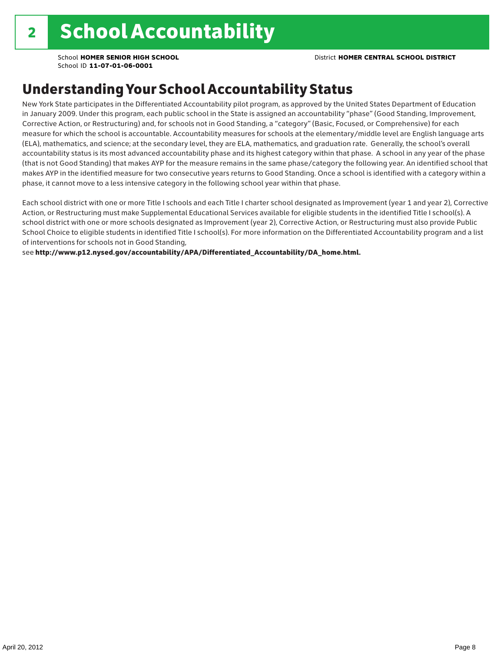### Understanding Your School Accountability Status

New York State participates in the Differentiated Accountability pilot program, as approved by the United States Department of Education in January 2009. Under this program, each public school in the State is assigned an accountability "phase" (Good Standing, Improvement, Corrective Action, or Restructuring) and, for schools not in Good Standing, a "category" (Basic, Focused, or Comprehensive) for each measure for which the school is accountable. Accountability measures for schools at the elementary/middle level are English language arts (ELA), mathematics, and science; at the secondary level, they are ELA, mathematics, and graduation rate. Generally, the school's overall accountability status is its most advanced accountability phase and its highest category within that phase. A school in any year of the phase (that is not Good Standing) that makes AYP for the measure remains in the same phase/category the following year. An identified school that makes AYP in the identified measure for two consecutive years returns to Good Standing. Once a school is identified with a category within a phase, it cannot move to a less intensive category in the following school year within that phase.

Each school district with one or more Title I schools and each Title I charter school designated as Improvement (year 1 and year 2), Corrective Action, or Restructuring must make Supplemental Educational Services available for eligible students in the identified Title I school(s). A school district with one or more schools designated as Improvement (year 2), Corrective Action, or Restructuring must also provide Public School Choice to eligible students in identified Title I school(s). For more information on the Differentiated Accountability program and a list of interventions for schools not in Good Standing,

see http://www.p12.nysed.gov/accountability/APA/Differentiated\_Accountability/DA\_home.html.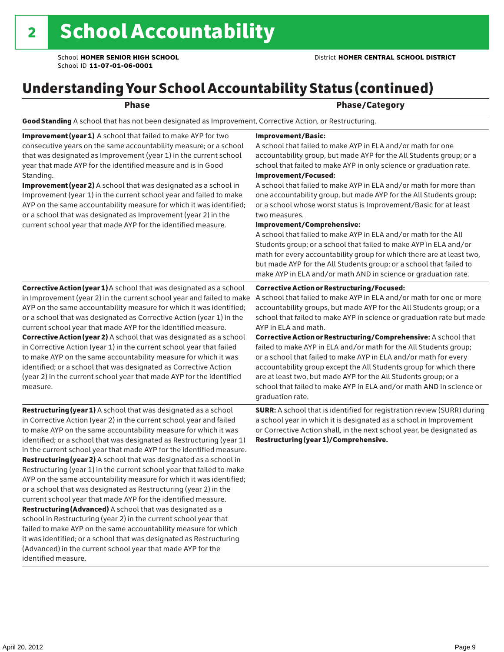### Understanding Your School Accountability Status (continued)

#### end and the contract of the Phase/Category

Good Standing A school that has not been designated as Improvement, Corrective Action, or Restructuring.

Improvement (year 1) A school that failed to make AYP for two consecutive years on the same accountability measure; or a school that was designated as Improvement (year 1) in the current school year that made AYP for the identified measure and is in Good Standing.

Improvement (year 2) A school that was designated as a school in Improvement (year 1) in the current school year and failed to make AYP on the same accountability measure for which it was identified; or a school that was designated as Improvement (year 2) in the current school year that made AYP for the identified measure.

Corrective Action (year 1) A school that was designated as a school in Improvement (year 2) in the current school year and failed to make AYP on the same accountability measure for which it was identified; or a school that was designated as Corrective Action (year 1) in the current school year that made AYP for the identified measure. Corrective Action (year 2) A school that was designated as a school in Corrective Action (year 1) in the current school year that failed to make AYP on the same accountability measure for which it was identified; or a school that was designated as Corrective Action (year 2) in the current school year that made AYP for the identified measure.

**Restructuring (year 1)** A school that was designated as a school in Corrective Action (year 2) in the current school year and failed to make AYP on the same accountability measure for which it was identified; or a school that was designated as Restructuring (year 1) in the current school year that made AYP for the identified measure. Restructuring (year 2) A school that was designated as a school in Restructuring (year 1) in the current school year that failed to make AYP on the same accountability measure for which it was identified; or a school that was designated as Restructuring (year 2) in the current school year that made AYP for the identified measure. Restructuring (Advanced) A school that was designated as a school in Restructuring (year 2) in the current school year that failed to make AYP on the same accountability measure for which it was identified; or a school that was designated as Restructuring (Advanced) in the current school year that made AYP for the identified measure.

#### Improvement/Basic:

A school that failed to make AYP in ELA and/or math for one accountability group, but made AYP for the All Students group; or a school that failed to make AYP in only science or graduation rate. Improvement/Focused:

A school that failed to make AYP in ELA and/or math for more than one accountability group, but made AYP for the All Students group; or a school whose worst status is Improvement/Basic for at least two measures.

#### Improvement/Comprehensive:

A school that failed to make AYP in ELA and/or math for the All Students group; or a school that failed to make AYP in ELA and/or math for every accountability group for which there are at least two, but made AYP for the All Students group; or a school that failed to make AYP in ELA and/or math AND in science or graduation rate.

#### Corrective Action or Restructuring/Focused:

A school that failed to make AYP in ELA and/or math for one or more accountability groups, but made AYP for the All Students group; or a school that failed to make AYP in science or graduation rate but made AYP in ELA and math.

Corrective Action or Restructuring/Comprehensive: A school that failed to make AYP in ELA and/or math for the All Students group; or a school that failed to make AYP in ELA and/or math for every accountability group except the All Students group for which there are at least two, but made AYP for the All Students group; or a school that failed to make AYP in ELA and/or math AND in science or graduation rate.

SURR: A school that is identified for registration review (SURR) during a school year in which it is designated as a school in Improvement or Corrective Action shall, in the next school year, be designated as Restructuring (year 1)/Comprehensive.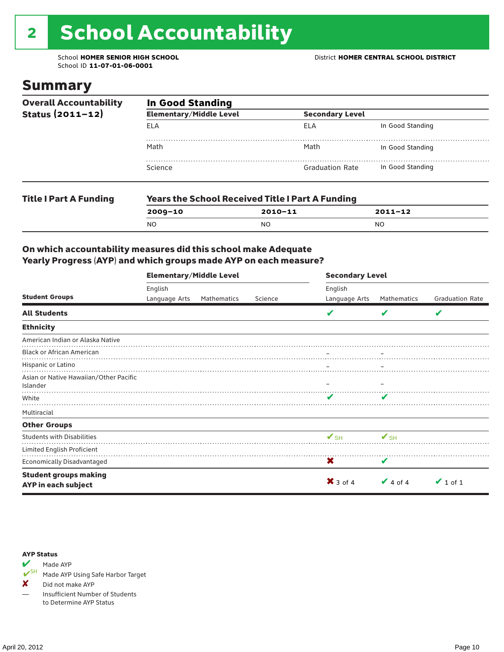# 2 School Accountability

School ID **11-07-01-06-0001**

### Summary

| <b>Overall Accountability</b>                         | <b>In Good Standing</b>        |                                                         |                  |  |  |  |  |
|-------------------------------------------------------|--------------------------------|---------------------------------------------------------|------------------|--|--|--|--|
| Status $(2011 - 12)$<br><b>Title I Part A Funding</b> | <b>Elementary/Middle Level</b> | <b>Secondary Level</b>                                  |                  |  |  |  |  |
|                                                       | <b>ELA</b>                     | ELA                                                     | In Good Standing |  |  |  |  |
|                                                       | Math                           | Math                                                    | In Good Standing |  |  |  |  |
|                                                       | Science                        | <b>Graduation Rate</b>                                  | In Good Standing |  |  |  |  |
|                                                       |                                | <b>Years the School Received Title I Part A Funding</b> |                  |  |  |  |  |
|                                                       | $2009 - 10$                    | $2010 - 11$                                             | $2011 - 12$      |  |  |  |  |
|                                                       | N <sub>O</sub>                 | <b>NO</b>                                               | <b>NO</b>        |  |  |  |  |

#### On which accountability measures did this school make Adequate Yearly Progress (AYP) and which groups made AYP on each measure?

|                                                     | <b>Elementary/Middle Level</b> |             |         | <b>Secondary Level</b>   |                    |                        |  |
|-----------------------------------------------------|--------------------------------|-------------|---------|--------------------------|--------------------|------------------------|--|
|                                                     | English                        |             |         | English                  |                    |                        |  |
| <b>Student Groups</b>                               | Language Arts                  | Mathematics | Science | Language Arts            | <b>Mathematics</b> | <b>Graduation Rate</b> |  |
| <b>All Students</b>                                 |                                |             |         |                          | V                  | V                      |  |
| <b>Ethnicity</b>                                    |                                |             |         |                          |                    |                        |  |
| American Indian or Alaska Native                    |                                |             |         |                          |                    |                        |  |
| <b>Black or African American</b>                    |                                |             |         |                          |                    |                        |  |
| Hispanic or Latino                                  |                                |             |         |                          |                    |                        |  |
| Asian or Native Hawaiian/Other Pacific<br>Islander  |                                |             |         |                          |                    |                        |  |
| White                                               |                                |             |         | v                        |                    |                        |  |
| Multiracial                                         |                                |             |         |                          |                    |                        |  |
| <b>Other Groups</b>                                 |                                |             |         |                          |                    |                        |  |
| <b>Students with Disabilities</b>                   |                                |             |         | $\mathbf{V}_{\text{SH}}$ | $V_{\text{SH}}$    |                        |  |
| Limited English Proficient                          |                                |             |         |                          |                    |                        |  |
| Economically Disadvantaged                          |                                |             |         | X                        | V                  |                        |  |
| <b>Student groups making</b><br>AYP in each subject |                                |             |         | $\mathsf{X}$ 3 of 4      | $\vee$ 4 of 4      | $\vee$ 1 of 1          |  |

#### AYP Status



Made AYP Using Safe Harbor Target

X Did not make AYP

— Insufficient Number of Students to Determine AYP Status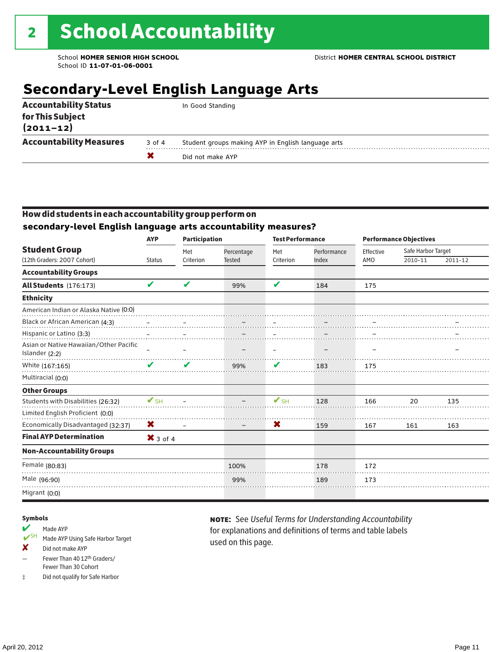### **Secondary-Level English Language Arts**

| for This Subject<br>$(2011 - 12)$<br><b>Accountability Measures</b><br>Student groups making AYP in English language arts<br>3 of 4 |                              | Did not make AYP |
|-------------------------------------------------------------------------------------------------------------------------------------|------------------------------|------------------|
|                                                                                                                                     |                              |                  |
|                                                                                                                                     | <b>Accountability Status</b> | In Good Standing |

#### How did students in each accountability group perform on **secondary-level English language arts accountability measures?**

| <b>Student Group</b><br>(12th Graders: 2007 Cohort)      | - 3<br><b>AYP</b>          | <b>Participation</b>       |                          |           | <b>Test Performance</b> |           | <b>Performance Objectives</b> |             |  |
|----------------------------------------------------------|----------------------------|----------------------------|--------------------------|-----------|-------------------------|-----------|-------------------------------|-------------|--|
|                                                          |                            | Met                        | Percentage               | Met       | Performance             | Effective | Safe Harbor Target            |             |  |
|                                                          | <b>Status</b>              | Criterion                  | <b>Tested</b>            | Criterion | Index                   | AMO       | 2010-11                       | $2011 - 12$ |  |
| <b>Accountability Groups</b>                             |                            |                            |                          |           |                         |           |                               |             |  |
| All Students (176:173)                                   | $\boldsymbol{\mathcal{U}}$ | $\boldsymbol{\mathcal{U}}$ | 99%                      | V         | 184                     | 175       |                               |             |  |
| <b>Ethnicity</b>                                         |                            |                            |                          |           |                         |           |                               |             |  |
| American Indian or Alaska Native (0:0)                   |                            |                            |                          |           |                         |           |                               |             |  |
| Black or African American (4:3)                          |                            |                            |                          |           |                         |           |                               |             |  |
| Hispanic or Latino (3:3)                                 |                            |                            |                          |           |                         |           |                               |             |  |
| Asian or Native Hawaiian/Other Pacific<br>Islander (2:2) |                            |                            |                          |           |                         |           |                               |             |  |
| White (167:165)                                          | V                          | V                          | 99%                      | V         | 183                     | 175       |                               |             |  |
| Multiracial (0:0)                                        |                            |                            |                          |           |                         |           |                               |             |  |
| <b>Other Groups</b>                                      |                            |                            |                          |           |                         |           |                               |             |  |
| Students with Disabilities (26:32)                       | $\mathbf{V}_{\text{SH}}$   |                            |                          | $V$ SH    | 128                     | 166       | 20                            | 135         |  |
| Limited English Proficient (0:0)                         |                            |                            |                          |           |                         |           |                               |             |  |
| Economically Disadvantaged (32:37)                       | X                          |                            | $\overline{\phantom{a}}$ | X         | 159                     | 167       | 161                           | 163         |  |
| <b>Final AYP Determination</b>                           | $\mathsf{X}$ 3 of 4        |                            |                          |           |                         |           |                               |             |  |
| <b>Non-Accountability Groups</b>                         |                            |                            |                          |           |                         |           |                               |             |  |
| Female (80:83)                                           |                            |                            | 100%                     |           | 178                     | 172       |                               |             |  |
| Male (96:90)                                             |                            |                            | 99%                      |           | 189                     | 173       |                               |             |  |
| Migrant (0:0)                                            |                            |                            |                          |           |                         |           |                               |             |  |

#### Symbols

#### Made AYP

- ✔SH Made AYP Using Safe Harbor Target
- ✘ Did not make AYP
- Fewer Than 40 12th Graders/ Fewer Than 30 Cohort
- ‡ Did not qualify for Safe Harbor

note: See *Useful Terms for Understanding Accountability*  for explanations and definitions of terms and table labels used on this page.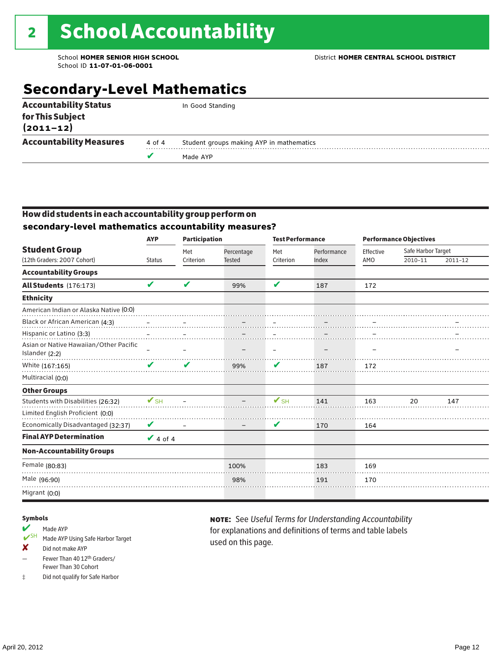### **Secondary-Level Mathematics**

| <b>Accountability Status</b>      |        | In Good Standing                         |
|-----------------------------------|--------|------------------------------------------|
| for This Subject<br>$(2011 - 12)$ |        |                                          |
| <b>Accountability Measures</b>    | 4 of 4 | Student groups making AYP in mathematics |
|                                   |        | Made AYP                                 |
|                                   |        |                                          |

#### How did students in each accountability group perform on **secondary-level mathematics accountability measures?**

|                                                          | <b>AYP</b>    | <b>Participation</b> |               | <b>Test Performance</b> |             | <b>Performance Objectives</b> |                    |         |
|----------------------------------------------------------|---------------|----------------------|---------------|-------------------------|-------------|-------------------------------|--------------------|---------|
| <b>Student Group</b>                                     |               | Met                  | Percentage    | Met                     | Performance | Effective                     | Safe Harbor Target |         |
| (12th Graders: 2007 Cohort)                              | <b>Status</b> | Criterion            | <b>Tested</b> | Criterion               | Index       | AMO                           | 2010-11            | 2011-12 |
| <b>Accountability Groups</b>                             |               |                      |               |                         |             |                               |                    |         |
| All Students (176:173)                                   | V             | V                    | 99%           | V                       | 187         | 172                           |                    |         |
| <b>Ethnicity</b>                                         |               |                      |               |                         |             |                               |                    |         |
| American Indian or Alaska Native (0:0)                   |               |                      |               |                         |             |                               |                    |         |
| Black or African American (4:3)                          |               |                      |               |                         |             |                               |                    |         |
| Hispanic or Latino (3:3)                                 |               |                      |               |                         |             |                               |                    |         |
| Asian or Native Hawaiian/Other Pacific<br>Islander (2:2) |               |                      |               |                         |             |                               |                    |         |
| White (167:165)                                          |               | V                    | 99%           | V                       | 187         | 172                           |                    |         |
| Multiracial (0:0)                                        |               |                      |               |                         |             |                               |                    |         |
| <b>Other Groups</b>                                      |               |                      |               |                         |             |                               |                    |         |
| Students with Disabilities (26:32)                       | $V$ SH        |                      |               | $V$ SH                  | 141         | 163                           | 20                 | 147     |
| Limited English Proficient (0:0)                         |               |                      |               |                         |             |                               |                    |         |
| Economically Disadvantaged (32:37)                       | V             |                      |               | V                       | 170         | 164                           |                    |         |
| <b>Final AYP Determination</b>                           | $\vee$ 4 of 4 |                      |               |                         |             |                               |                    |         |
| <b>Non-Accountability Groups</b>                         |               |                      |               |                         |             |                               |                    |         |
| Female (80:83)                                           |               |                      | 100%          |                         | 183         | 169                           |                    |         |
| Male (96:90)                                             |               |                      | 98%           |                         | 191         | 170                           |                    |         |
| Migrant (0:0)                                            |               |                      |               |                         |             |                               |                    |         |

#### Symbols

- Made AYP<br>
SH Made AVP Made AYP Using Safe Harbor Target
- ✘ Did not make AYP
- Fewer Than 40 12th Graders/ Fewer Than 30 Cohort
- ‡ Did not qualify for Safe Harbor

note: See *Useful Terms for Understanding Accountability*  for explanations and definitions of terms and table labels used on this page.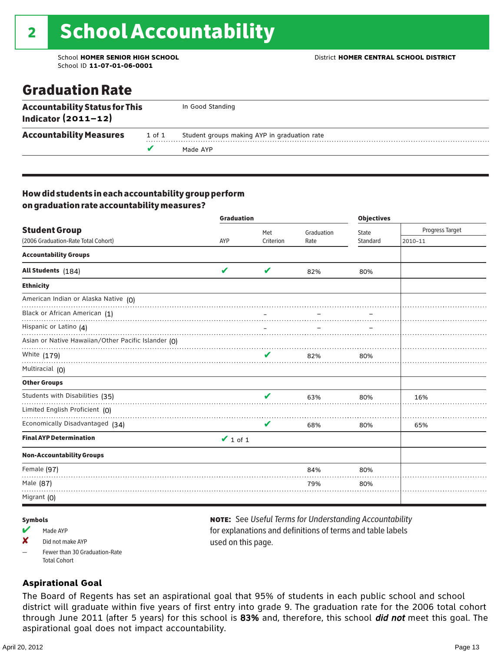### Graduation Rate

| <b>Accountability Status for This</b><br>Indicator $(2011-12)$ |        | In Good Standing                             |
|----------------------------------------------------------------|--------|----------------------------------------------|
| <b>Accountability Measures</b>                                 | 1 of 1 | Student groups making AYP in graduation rate |
|                                                                |        | Made AYP                                     |

#### How did students in each accountability group perform on graduation rate accountability measures?

|                                                     | <b>Graduation</b> |           |            | <b>Objectives</b> |                 |  |
|-----------------------------------------------------|-------------------|-----------|------------|-------------------|-----------------|--|
| <b>Student Group</b>                                |                   | Met       | Graduation | State             | Progress Target |  |
| (2006 Graduation-Rate Total Cohort)                 | AYP               | Criterion | Rate       | Standard          | 2010-11         |  |
| <b>Accountability Groups</b>                        |                   |           |            |                   |                 |  |
| All Students (184)                                  | V                 | V         | 82%        | 80%               |                 |  |
| <b>Ethnicity</b>                                    |                   |           |            |                   |                 |  |
| American Indian or Alaska Native (0)                |                   |           |            |                   |                 |  |
| Black or African American (1)                       |                   |           |            |                   |                 |  |
| Hispanic or Latino (4)                              |                   |           |            |                   |                 |  |
| Asian or Native Hawaiian/Other Pacific Islander (0) |                   |           |            |                   |                 |  |
| White (179)                                         |                   |           | 82%        | 80%               |                 |  |
| Multiracial (0)                                     |                   |           |            |                   |                 |  |
| <b>Other Groups</b>                                 |                   |           |            |                   |                 |  |
| Students with Disabilities (35)                     |                   | ✔         | 63%        | 80%               | 16%             |  |
| Limited English Proficient (0)                      |                   |           |            |                   |                 |  |
| Economically Disadvantaged (34)                     |                   | V         | 68%        | 80%               | 65%             |  |
| <b>Final AYP Determination</b>                      | $\vee$ 1 of 1     |           |            |                   |                 |  |
| <b>Non-Accountability Groups</b>                    |                   |           |            |                   |                 |  |
| Female (97)                                         |                   |           | 84%        | 80%               |                 |  |
| Male (87)                                           |                   |           | 79%        | 80%               |                 |  |
| Migrant $(0)$                                       |                   |           |            |                   |                 |  |

#### Symbols

- Made AYP
- X Did not make AYP
- Fewer than 30 Graduation-Rate Total Cohort

#### note: See *Useful Terms for Understanding Accountability*  for explanations and definitions of terms and table labels used on this page.

#### **Aspirational Goal**

The Board of Regents has set an aspirational goal that 95% of students in each public school and school district will graduate within five years of first entry into grade 9. The graduation rate for the 2006 total cohort through June 2011 (after 5 years) for this school is 83% and, therefore, this school did not meet this goal. The aspirational goal does not impact accountability.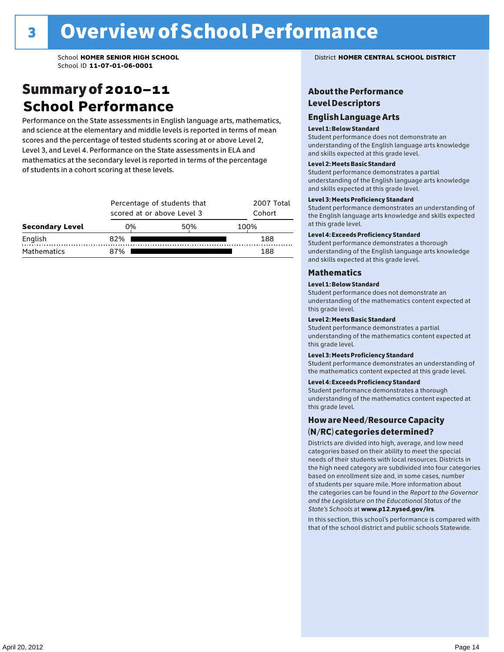### Summary of 2010–11 **School Performance**

Performance on the State assessments in English language arts, mathematics, and science at the elementary and middle levels is reported in terms of mean scores and the percentage of tested students scoring at or above Level 2, Level 3, and Level 4. Performance on the State assessments in ELA and mathematics at the secondary level is reported in terms of the percentage of students in a cohort scoring at these levels.

|                        |     | Percentage of students that<br>scored at or above Level 3 |      |  |  |  |  |
|------------------------|-----|-----------------------------------------------------------|------|--|--|--|--|
| <b>Secondary Level</b> | 0%  | 50%                                                       | 100% |  |  |  |  |
| English                | 82% |                                                           | 188  |  |  |  |  |
| <b>Mathematics</b>     | 7%  |                                                           | 188  |  |  |  |  |

#### School **HOMER SENIOR HIGH SCHOOL** District **HOMER CENTRAL SCHOOL DISTRICT**

#### About the Performance Level Descriptors

#### English Language Arts English Language Arts

#### Level 1: Below Standard

understanding of the content expected in the subjection of the subjection  $\mathcal{L}$ Student performance does not demonstrate an Level 2: Partially Meeting Learning Standards. and skills expected at this grade level. understanding of the English language arts knowledge

#### Student performance demonstrates a partial Level 2: Meets Basic Standard understanding of the content expected in the subject of the subject of the subject of the subject of the subject

Student performance demonstrates a partial and skills expected at this grade level. Students performance demonstrates and understanding and understanding and understanding and understanding and u understanding of the English language arts knowledge

#### Level 3: Meets Proficiency Standard

Level 4: Meeting Learning Standards with Distinction. the English language arts knowledge and skills expected at this grade level.<br>at this grade level.  $\mathbf{u}$  and  $\mathbf{y}$  and  $\mathbf{u}$  the subjected in the subjected in the subjected in the subjection  $\mathbf{y}$ Student performance demonstrates an understanding of

#### Level 4: Exceeds Proficiency Standard

understanding of the English language arts knowledge and skills expected at this grade level.<br>———————————————————— Student performance demonstrates a thorough

#### Districts are districts and low need in the low need  $\sim$

#### categories based on their ability to meet the special Level 1: Below Standard

Student performance does not demonstrate an understanding of the mathematics content expected at  $\frac{1}{2}$  based on enrollment size and, in some cases, number  $\frac{1}{2}$  and,  $\frac{1}{2}$  and,  $\frac{1}{2}$ 

#### $\overline{\mathsf{Level}}$  2: Meets Basic Standard about 2: More information about 2: More information about 2: More information about 2: More information about 2: More information about 2: More information about 2: More information abo

the categories can be found in the *Report to the Governor categories* can be found in the *Report to the Govern*or  $\alpha$ *and the Legislature on the Educational Status of the*  Student performance demonstrates a partial understanding of the mathematics content expected at this grade level.

#### Level 3: Meets Proficiency Standard

Student performance demonstrates an understanding of the mathematics content expected at this grade level.

#### Level 4: Exceeds Proficiency Standard

Student performance demonstrates a thorough understanding of the mathematics content expected at this grade level.  $\mathcal{L}_{\text{max}}$  is performance with that of similar  $\mathcal{L}_{\text{max}}$ 

#### schools. The following factors are considered in grouping How are Need/Resource Capacity  $(N/RC)$  categories determined?  $\hphantom{N(2)}\sum_{n=1}^{\infty}\frac{1}{n}$

Districts are divided into high, average, and low need categories based on their ability to meet the special needs of their students with local resources. Districts in the high need category are subdivided into four categories based on enrollment size and, in some cases, number of students per square mile. More information about the categories can be found in the *Report to the Governor* Group: *State's Schools* at www.p12.nysed.gov/irs. *and the Legislature on the Educational Status of the* 

In this section, this school's performance is compared with that of the school district and public schools Statewide.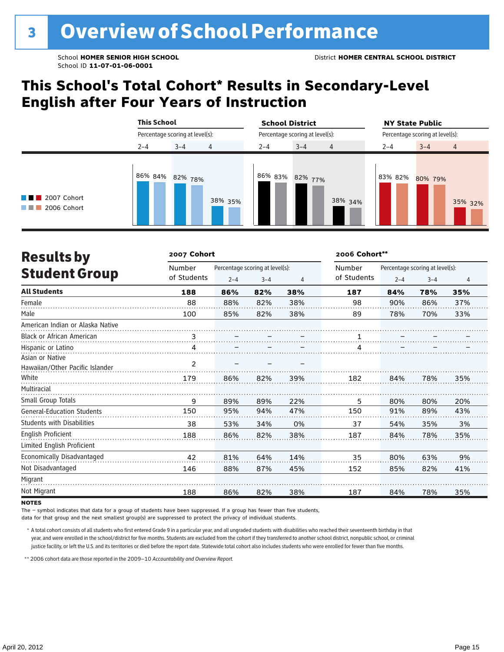### **This School's Total Cohort\* Results in Secondary-Level English after Four Years of Instruction**

|                                                | <b>This School</b><br>Percentage scoring at level(s): |         |         | <b>School District</b>          |         |                | <b>NY State Public</b>          |         |                |
|------------------------------------------------|-------------------------------------------------------|---------|---------|---------------------------------|---------|----------------|---------------------------------|---------|----------------|
|                                                |                                                       |         |         | Percentage scoring at level(s): |         |                | Percentage scoring at level(s): |         |                |
|                                                | $2 - 4$                                               | $3 - 4$ | 4       | $2 - 4$                         | $3 - 4$ | $\overline{4}$ | $2 - 4$                         | $3 - 4$ | $\overline{4}$ |
| $\blacksquare$ 2007 Cohort<br>2006 Cohort<br>. | 86% 84% 82% 78%                                       |         | 38% 35% | 86% 83% 82% 77%                 |         | 38% 34%        | 83% 82%                         | 80% 79% | 35% 32%        |

| <b>Results by</b>                 | 2007 Cohort |         |                                 | 2006 Cohort** |             |                                 |         |     |  |
|-----------------------------------|-------------|---------|---------------------------------|---------------|-------------|---------------------------------|---------|-----|--|
|                                   | Number      |         | Percentage scoring at level(s): |               | Number      | Percentage scoring at level(s): |         |     |  |
| <b>Student Group</b>              | of Students | $2 - 4$ | $3 - 4$                         | 4             | of Students | $2 - 4$                         | $3 - 4$ | 4   |  |
| <b>All Students</b>               | 188         | 86%     | 82%                             | 38%           | 187         | 84%                             | 78%     | 35% |  |
| Female                            | 88          | 88%     | 82%                             | 38%           | 98          | 90%                             | 86%     | 37% |  |
| Male                              | 100         | 85%     | 82%                             | 38%           | 89          | 78%                             | 70%     | 33% |  |
| American Indian or Alaska Native  |             |         |                                 |               |             |                                 |         |     |  |
| <b>Black or African American</b>  | 3           |         |                                 |               | 1           |                                 |         |     |  |
| Hispanic or Latino                | 4           |         |                                 |               | 4           |                                 |         |     |  |
| Asian or Native                   |             |         |                                 |               |             |                                 |         |     |  |
| Hawaiian/Other Pacific Islander   | 2           |         |                                 |               |             |                                 |         |     |  |
| White                             | 179         | 86%     | 82%                             | 39%           | 182         | 84%                             | 78%     | 35% |  |
| Multiracial                       |             |         |                                 |               |             |                                 |         |     |  |
| Small Group Totals                | 9           | 89%     | 89%                             | 22%           | 5           | 80%                             | 80%     | 20% |  |
| <b>General-Education Students</b> | 150         | 95%     | 94%                             | 47%           | 150         | 91%                             | 89%     | 43% |  |
| <b>Students with Disabilities</b> | 38          | 53%     | 34%                             | 0%            | 37          | 54%                             | 35%     | 3%  |  |
| <b>English Proficient</b>         | 188         | 86%     | 82%                             | 38%           | 187         | 84%                             | 78%     | 35% |  |
| Limited English Proficient        |             |         |                                 |               |             |                                 |         |     |  |
| Economically Disadvantaged        | 42          | 81%     | 64%                             | 14%           | 35          | 80%                             | 63%     | 9%  |  |
| Not Disadvantaged                 | 146         | 88%     | 87%                             | 45%           | 152         | 85%                             | 82%     | 41% |  |
| Migrant                           |             |         |                                 |               |             |                                 |         |     |  |
| Not Migrant                       | 188         | 86%     | 82%                             | 38%           | 187         | 84%                             | 78%     | 35% |  |

#### **NOTES**

The – symbol indicates that data for a group of students have been suppressed. If a group has fewer than five students,

data for that group and the next smallest group(s) are suppressed to protect the privacy of individual students.

\* A total cohort consists of all students who first entered Grade 9 in a particular year, and all ungraded students with disabilities who reached their seventeenth birthday in that year, and were enrolled in the school/district for five months. Students are excluded from the cohort if they transferred to another school district, nonpublic school, or criminal justice facility, or left the U.S. and its territories or died before the report date. Statewide total cohort also includes students who were enrolled for fewer than five months.

\*\*2006 cohort data are those reported in the 2009–10 *Accountability and Overview Report*.